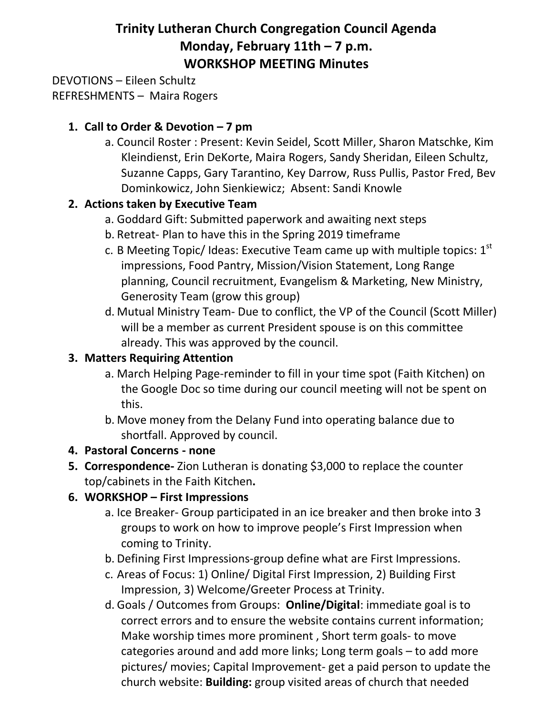# **Trinity Lutheran Church Congregation Council Agenda Monday, February 11th – 7 p.m. WORKSHOP MEETING Minutes**

DEVOTIONS – Eileen Schultz REFRESHMENTS – Maira Rogers

#### **1. Call to Order & Devotion – 7 pm**

a. Council Roster : Present: Kevin Seidel, Scott Miller, Sharon Matschke, Kim Kleindienst, Erin DeKorte, Maira Rogers, Sandy Sheridan, Eileen Schultz, Suzanne Capps, Gary Tarantino, Key Darrow, Russ Pullis, Pastor Fred, Bev Dominkowicz, John Sienkiewicz; Absent: Sandi Knowle

#### **2. Actions taken by Executive Team**

- a. Goddard Gift: Submitted paperwork and awaiting next steps
- b. Retreat- Plan to have this in the Spring 2019 timeframe
- c. B Meeting Topic/ Ideas: Executive Team came up with multiple topics:  $1<sup>st</sup>$ impressions, Food Pantry, Mission/Vision Statement, Long Range planning, Council recruitment, Evangelism & Marketing, New Ministry, Generosity Team (grow this group)
- d. Mutual Ministry Team- Due to conflict, the VP of the Council (Scott Miller) will be a member as current President spouse is on this committee already. This was approved by the council.

# **3. Matters Requiring Attention**

- a. March Helping Page-reminder to fill in your time spot (Faith Kitchen) on the Google Doc so time during our council meeting will not be spent on this.
- b. Move money from the Delany Fund into operating balance due to shortfall. Approved by council.

# **4. Pastoral Concerns - none**

**5. Correspondence-** Zion Lutheran is donating \$3,000 to replace the counter top/cabinets in the Faith Kitchen**.**

# **6. WORKSHOP – First Impressions**

- a. Ice Breaker- Group participated in an ice breaker and then broke into 3 groups to work on how to improve people's First Impression when coming to Trinity.
- b. Defining First Impressions-group define what are First Impressions.
- c. Areas of Focus: 1) Online/ Digital First Impression, 2) Building First Impression, 3) Welcome/Greeter Process at Trinity.
- d. Goals / Outcomes from Groups: **Online/Digital**: immediate goal is to correct errors and to ensure the website contains current information; Make worship times more prominent , Short term goals- to move categories around and add more links; Long term goals – to add more pictures/ movies; Capital Improvement- get a paid person to update the church website: **Building:** group visited areas of church that needed